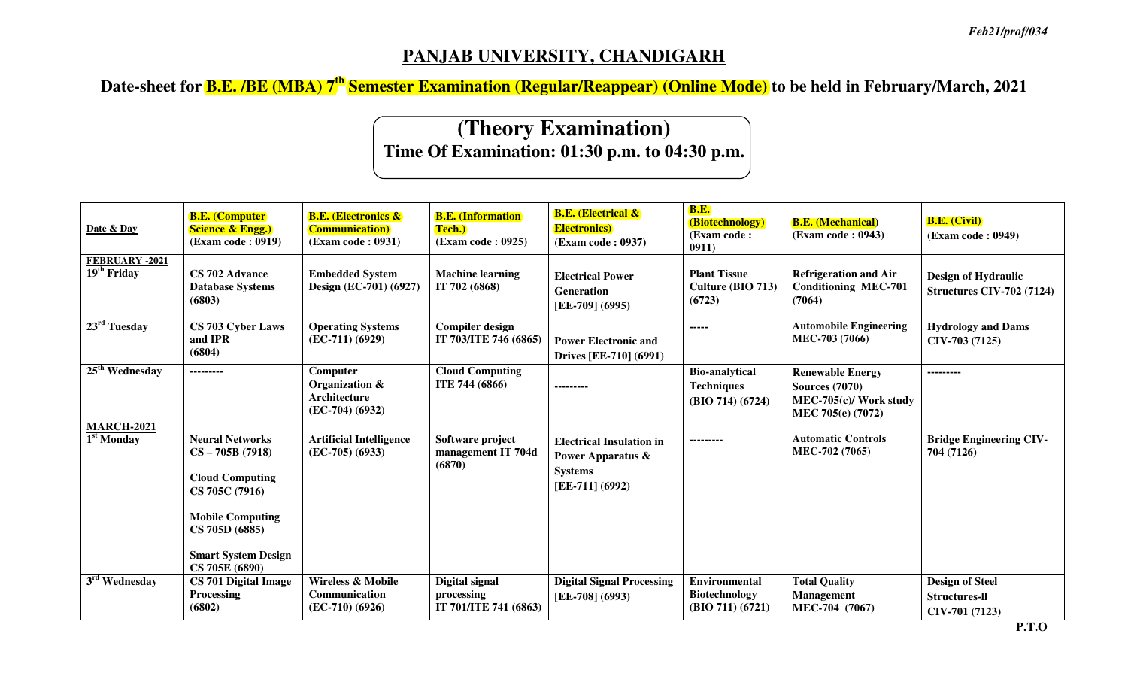## **PANJAB UNIVERSITY, CHANDIGARH**

**Date-sheet for B.E. /BE (MBA) 7th Semester Examination (Regular/Reappear) (Online Mode) to be held in February/March, 2021** 

## **(Theory Examination)Time Of Examination: 01:30 p.m. to 04:30 p.m.**

| Date & Day                                      | <b>B.E.</b> (Computer)<br><b>Science &amp; Engg.)</b><br>(Exam code: 0919)                                                                                                           | <b>B.E. (Electronics &amp;</b><br><b>Communication</b> )<br>(Exam code: 0931) | <b>B.E.</b> (Information<br>Tech.)<br>(Exam code: 0925) | <b>B.E.</b> (Electrical &<br><b>Electronics</b> )<br>(Exam code: 0937)                                 | <b>B.E.</b><br>(Biotechnology)<br>(Exam code:<br>0911)           | <b>B.E.</b> (Mechanical)<br>(Exam code: 0943)                                                   | <b>B.E. (Civil)</b><br>(Exam code: 0949)                         |
|-------------------------------------------------|--------------------------------------------------------------------------------------------------------------------------------------------------------------------------------------|-------------------------------------------------------------------------------|---------------------------------------------------------|--------------------------------------------------------------------------------------------------------|------------------------------------------------------------------|-------------------------------------------------------------------------------------------------|------------------------------------------------------------------|
| FEBRUARY -2021<br>19 <sup>th</sup> Friday       | CS 702 Advance<br><b>Database Systems</b><br>(6803)                                                                                                                                  | <b>Embedded System</b><br>Design (EC-701) (6927)                              | <b>Machine learning</b><br>IT 702 (6868)                | <b>Electrical Power</b><br><b>Generation</b><br>[EE-709] (6995)                                        | <b>Plant Tissue</b><br>Culture (BIO 713)<br>(6723)               | <b>Refrigeration and Air</b><br><b>Conditioning MEC-701</b><br>(7064)                           | <b>Design of Hydraulic</b><br><b>Structures CIV-702 (7124)</b>   |
| $23rd$ Tuesday                                  | CS 703 Cyber Laws<br>and IPR<br>(6804)                                                                                                                                               | <b>Operating Systems</b><br>$(EC-711) (6929)$                                 | <b>Compiler design</b><br>IT 703/ITE 746 (6865)         | <b>Power Electronic and</b><br>Drives [EE-710] (6991)                                                  | -----                                                            | <b>Automobile Engineering</b><br>MEC-703 (7066)                                                 | <b>Hydrology and Dams</b><br>$CIV-703(7125)$                     |
| $25th$ Wednesday                                | ---------                                                                                                                                                                            | Computer<br>Organization &<br>Architecture<br>$(EC-704) (6932)$               | <b>Cloud Computing</b><br>ITE 744 (6866)                | ---------                                                                                              | <b>Bio-analytical</b><br><b>Techniques</b><br>(BIO 714) (6724)   | <b>Renewable Energy</b><br><b>Sources</b> (7070)<br>MEC-705(c)/ Work study<br>MEC 705(e) (7072) | ---------                                                        |
| <b>MARCH-2021</b><br>$\overline{1^{st}}$ Monday | <b>Neural Networks</b><br>$CS - 705B(7918)$<br><b>Cloud Computing</b><br>CS 705C (7916)<br><b>Mobile Computing</b><br>CS 705D (6885)<br><b>Smart System Design</b><br>CS 705E (6890) | <b>Artificial Intelligence</b><br>$(EC-705) (6933)$                           | Software project<br>management IT 704d<br>(6870)        | <b>Electrical Insulation in</b><br><b>Power Apparatus &amp;</b><br><b>Systems</b><br>$[EE-711] (6992)$ | ---------                                                        | <b>Automatic Controls</b><br>MEC-702 (7065)                                                     | <b>Bridge Engineering CIV-</b><br>704 (7126)                     |
| 3 <sup>rd</sup> Wednesday                       | CS 701 Digital Image<br><b>Processing</b><br>(6802)                                                                                                                                  | <b>Wireless &amp; Mobile</b><br>Communication<br>$(EC-710) (6926)$            | Digital signal<br>processing<br>IT 701/ITE 741 (6863)   | <b>Digital Signal Processing</b><br>[EE-708] (6993)                                                    | <b>Environmental</b><br><b>Biotechnology</b><br>(BIO 711) (6721) | <b>Total Quality</b><br>Management<br>MEC-704 (7067)                                            | <b>Design of Steel</b><br><b>Structures-II</b><br>CIV-701 (7123) |